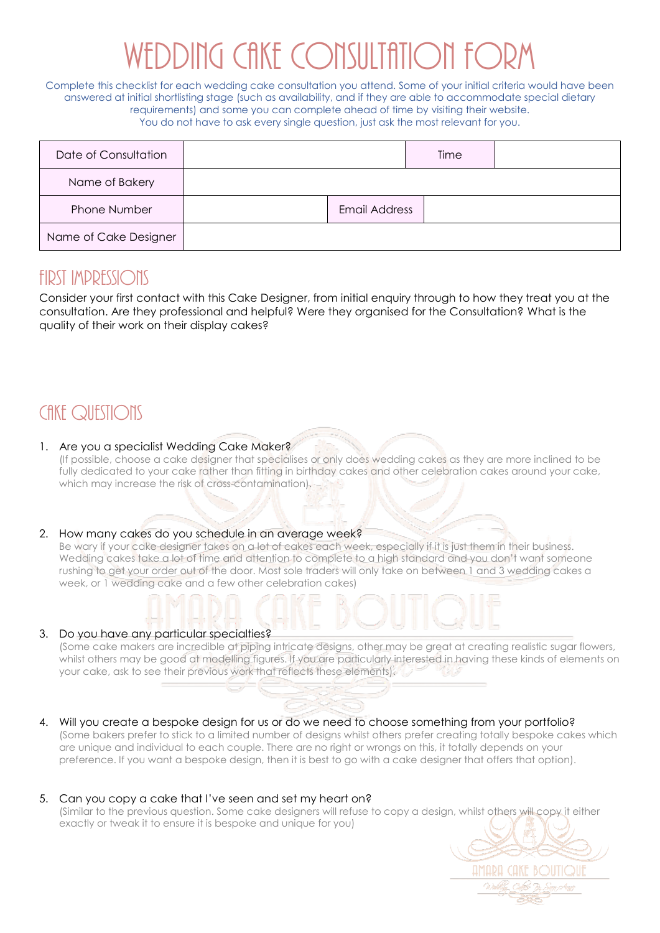# $\mathcal{D}\mathsf{D}\mathsf{I}\mathsf{N}\mathsf{G}$  Cake Consultation

Complete this checklist for each wedding cake consultation you attend. Some of your initial criteria would have been answered at initial shortlisting stage (such as availability, and if they are able to accommodate special dietary requirements) and some you can complete ahead of time by visiting their website. You do not have to ask every single question, just ask the most relevant for you.

| Date of Consultation  |                      | Time |  |
|-----------------------|----------------------|------|--|
| Name of Bakery        |                      |      |  |
| <b>Phone Number</b>   | <b>Email Address</b> |      |  |
| Name of Cake Designer |                      |      |  |

### **FIDST IMDDESSIONS**

Consider your first contact with this Cake Designer, from initial enquiry through to how they treat you at the consultation. Are they professional and helpful? Were they organised for the Consultation? What is the quality of their work on their display cakes?

# CAKE QUESTIONS

#### 1. Are you a specialist Wedding Cake Maker?

(If possible, choose a cake designer that specialises or only does wedding cakes as they are more inclined to be fully dedicated to your cake rather than fitting in birthday cakes and other celebration cakes around your cake, which may increase the risk of cross-contamination).

#### 2. How many cakes do you schedule in an average week?

Be wary if your cake designer takes on a lot of cakes each week, especially if it is just them in their business. Wedding cakes take a lot of time and attention to complete to a high standard and you don't want someone rushing to get your order out of the door. Most sole traders will only take on between 1 and 3 wedding cakes a week, or 1 wedding cake and a few other celebration cakes)

#### 3. Do you have any particular specialties?

(Some cake makers are incredible at piping intricate designs, other may be great at creating realistic sugar flowers, whilst others may be good at modelling figures. If you are particularly interested in having these kinds of elements on your cake, ask to see their previous work that reflects these elements).

- 4. Will you create a bespoke design for us or do we need to choose something from your portfolio? (Some bakers prefer to stick to a limited number of designs whilst others prefer creating totally bespoke cakes which are unique and individual to each couple. There are no right or wrongs on this, it totally depends on your preference. If you want a bespoke design, then it is best to go with a cake designer that offers that option).
- 5. Can you copy a cake that I've seen and set my heart on? (Similar to the previous question. Some cake designers will refuse to copy a design, whilst others will copy it either exactly or tweak it to ensure it is bespoke and unique for you)

AMARA (AKF BOIITI)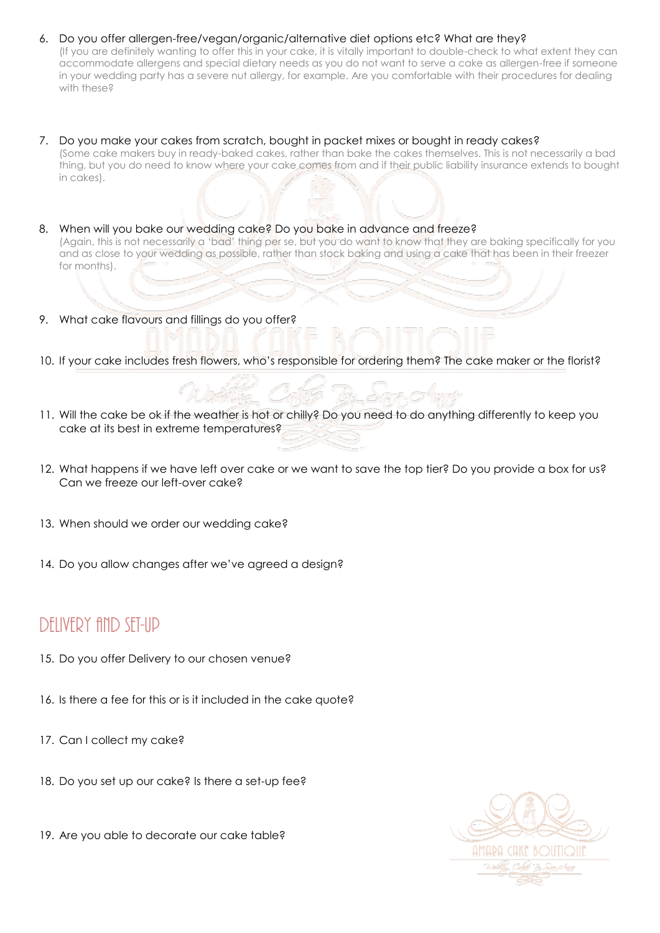#### 6. Do you offer allergen-free/vegan/organic/alternative diet options etc? What are they?

(If you are definitely wanting to offer this in your cake, it is vitally important to double-check to what extent they can accommodate allergens and special dietary needs as you do not want to serve a cake as allergen-free if someone in your wedding party has a severe nut allergy, for example. Are you comfortable with their procedures for dealing with these?

- 7. Do you make your cakes from scratch, bought in packet mixes or bought in ready cakes? (Some cake makers buy in ready-baked cakes, rather than bake the cakes themselves. This is not necessarily a bad thing, but you do need to know where your cake comes from and if their public liability insurance extends to bought in cakes).
- 8. When will you bake our wedding cake? Do you bake in advance and freeze?

(Again, this is not necessarily a 'bad' thing per se, but you do want to know that they are baking specifically for you and as close to your wedding as possible, rather than stock baking and using a cake that has been in their freezer for months).

- 9. What cake flavours and fillings do you offer?
- 10. If your cake includes fresh flowers, who's responsible for ordering them? The cake maker or the florist?
- 11. Will the cake be ok if the weather is hot or chilly? Do you need to do anything differently to keep you cake at its best in extreme temperatures?
- 12. What happens if we have left over cake or we want to save the top tier? Do you provide a box for us? Can we freeze our left-over cake?
- 13. When should we order our wedding cake?
- 14. Do you allow changes after we've agreed a design?

### DELIVERY AND SET-LID

- 15. Do you offer Delivery to our chosen venue?
- 16. Is there a fee for this or is it included in the cake quote?
- 17. Can I collect my cake?
- 18. Do you set up our cake? Is there a set-up fee?
- 19. Are you able to decorate our cake table?